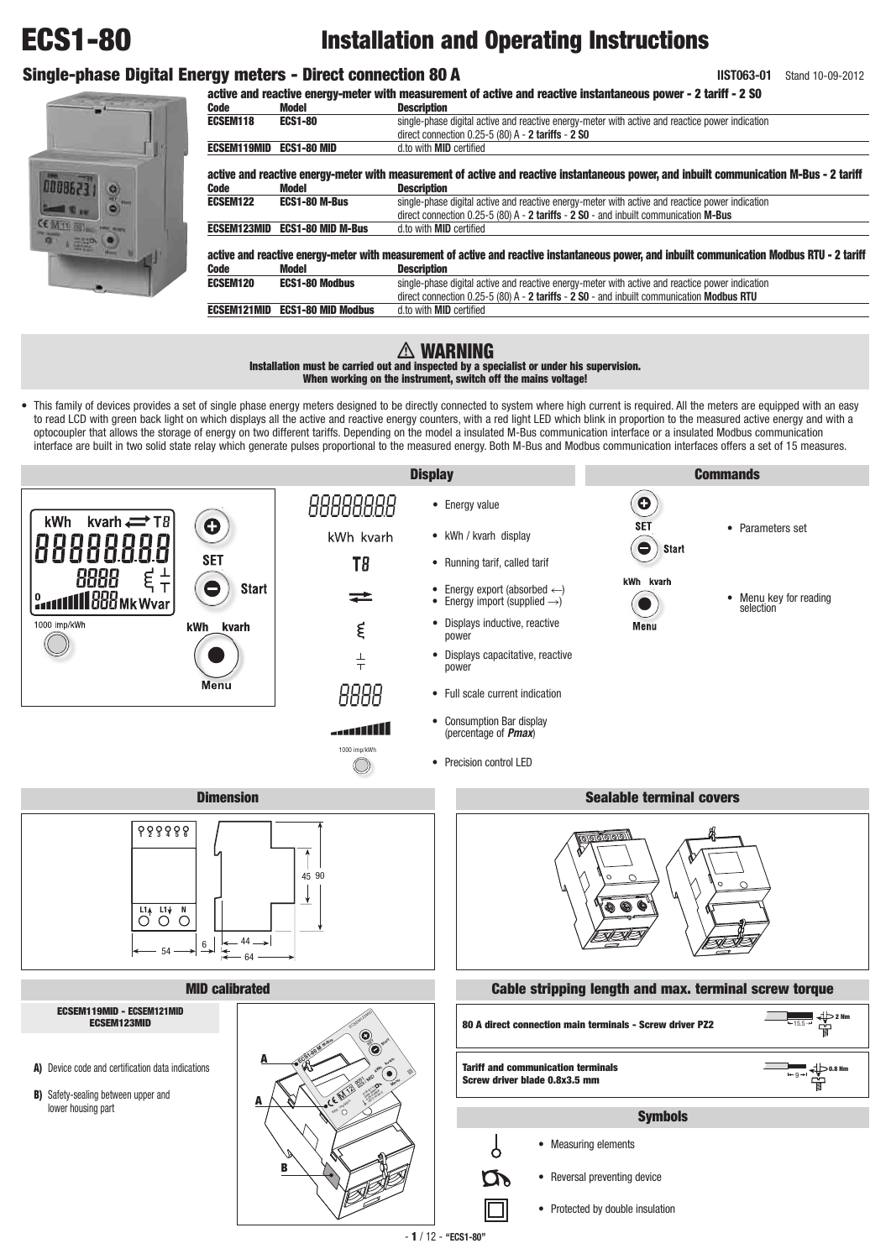# **ECS1-80 Installation and Operating Instructions**

# **Single-phase Digital Energy meters - Direct connection 80 A**

**IIST063-01** Stand 10-09-2012

# **active and reactive energy-meter with measurement of active and reactive instantaneous power - 2 tariff - 2 S0**

**Description** 



| .                  |                           | PUJUI IMMUII                                                                                                                                  |  |  |  |
|--------------------|---------------------------|-----------------------------------------------------------------------------------------------------------------------------------------------|--|--|--|
| ECSEM118           | <b>ECS1-80</b>            | single-phase digital active and reactive energy-meter with active and reactice power indication                                               |  |  |  |
|                    |                           | direct connection $0.25-5(80)$ A - 2 tariffs - 2 SO                                                                                           |  |  |  |
| <b>ECSEM119MID</b> | <b>ECS1-80 MID</b>        | d.to with <b>MID</b> certified                                                                                                                |  |  |  |
|                    |                           | active and reactive energy-meter with measurement of active and reactive instantaneous power, and inbuilt communication M-Bus - 2 tariff      |  |  |  |
| Code               | Model                     | <b>Description</b>                                                                                                                            |  |  |  |
| ECSEM122           | <b>ECS1-80 M-Bus</b>      | single-phase digital active and reactive energy-meter with active and reactice power indication                                               |  |  |  |
|                    |                           | direct connection $0.25-5$ (80) A - 2 tariffs - 2 S0 - and inbuilt communication M-Bus                                                        |  |  |  |
| <b>ECSEM123MID</b> | <b>ECS1-80 MID M-Bus</b>  | d.to with <b>MID</b> certified                                                                                                                |  |  |  |
|                    |                           | active and reactive energy-meter with measurement of active and reactive instantaneous power, and inbuilt communication Modbus RTU - 2 tariff |  |  |  |
| <b>Code</b>        | Model                     | <b>Description</b>                                                                                                                            |  |  |  |
| <b>ECSEM120</b>    | <b>ECS1-80 Modbus</b>     | single-phase digital active and reactive energy-meter with active and reactice power indication                                               |  |  |  |
|                    |                           | direct connection $0.25-5(80)$ A - 2 tariffs - 2 SO - and inbuilt communication Modbus RTU                                                    |  |  |  |
| <b>ECSEM121MID</b> | <b>ECS1-80 MID Modbus</b> | d.to with <b>MID</b> certified                                                                                                                |  |  |  |
|                    |                           |                                                                                                                                               |  |  |  |

# **WARNING**

**Installation must be carried out and inspected by a specialist or under his supervision. When working on the instrument, switch off the mains voltage!**

• This family of devices provides a set of single phase energy meters designed to be directly connected to system where high current is required. All the meters are equipped with an easy to read LCD with green back light on which displays all the active and reactive energy counters, with a red light LED which blink in proportion to the measured active energy and with a optocoupler that allows the storage of energy on two different tariffs. Depending on the model a insulated M-Bus communication interface or a insulated Modbus communication interface are built in two solid state relay which generate pulses proportional to the measured energy. Both M-Bus and Modbus communication interfaces offers a set of 15 measures.

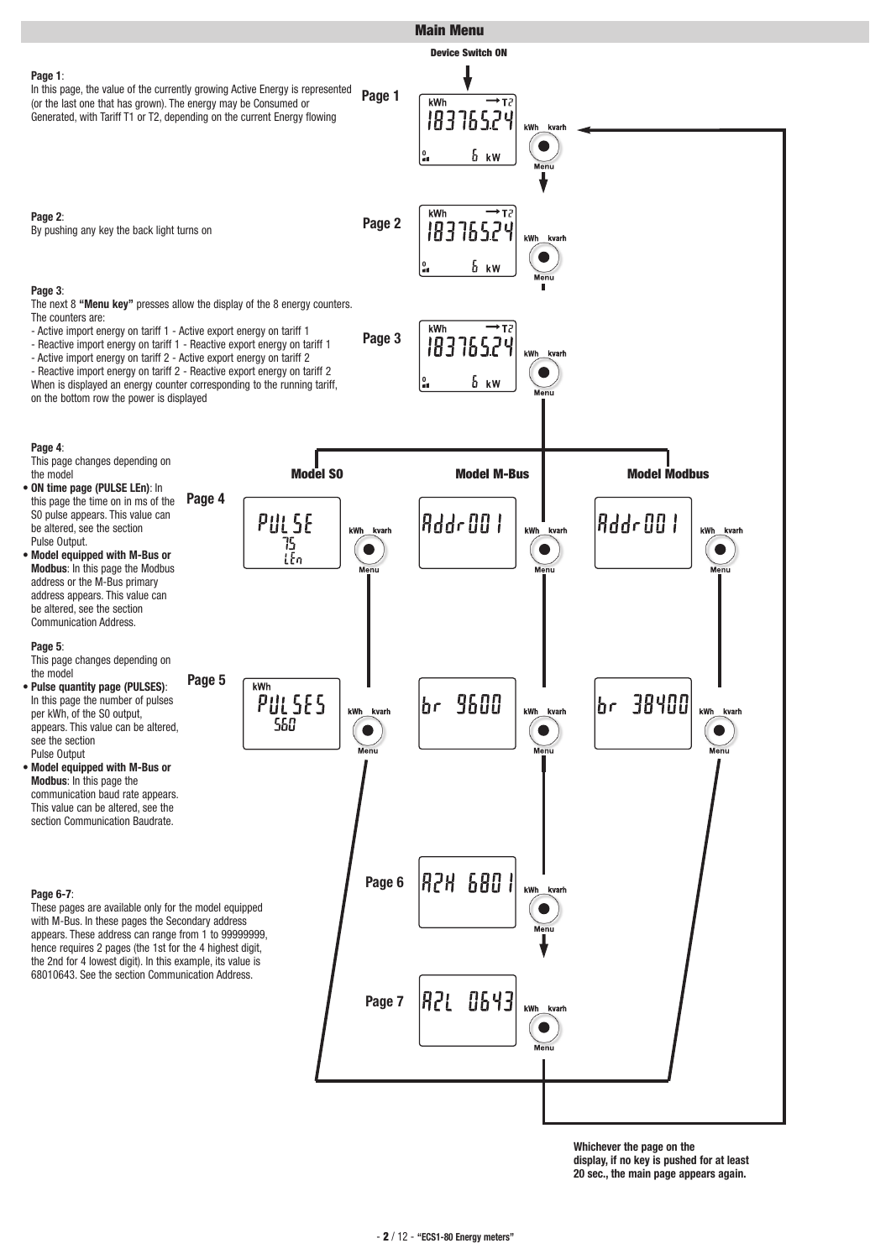

**Whichever the page on the display, if no key is pushed for at least 20 sec., the main page appears again.**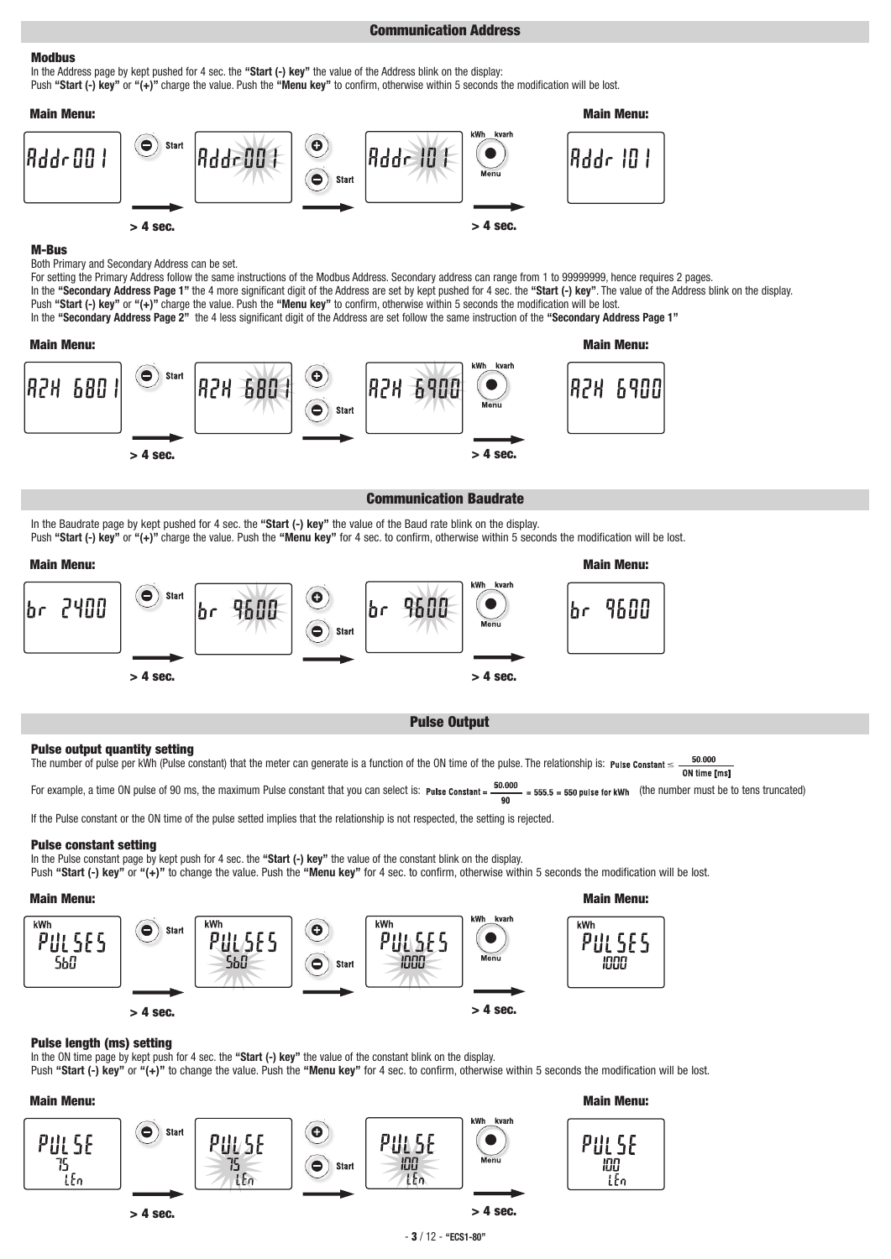# **Communication Address**

# **Modbus**

In the Address page by kept pushed for 4 sec. the **"Start (-) key"** the value of the Address blink on the display: Push **"Start (-) key"** or **"(+)"** charge the value. Push the **"Menu key"** to confirm, otherwise within 5 seconds the modification will be lost.



## **M-Bus**

Both Primary and Secondary Address can be set.

For setting the Primary Address follow the same instructions of the Modbus Address. Secondary address can range from 1 to 99999999, hence requires 2 pages. In the **"Secondary Address Page 1"** the 4 more significant digit of the Address are set by kept pushed for 4 sec. the **"Start (-) key"**. The value of the Address blink on the display. Push **"Start (-) key"** or **"(+)"** charge the value. Push the **"Menu key"** to confirm, otherwise within 5 seconds the modification will be lost.

In the **"Secondary Address Page 2"** the 4 less significant digit of the Address are set follow the same instruction of the **"Secondary Address Page 1"**



# **Communication Baudrate**

In the Baudrate page by kept pushed for 4 sec. the **"Start (-) key"** the value of the Baud rate blink on the display. Push **"Start (-) key"** or **"(+)"** charge the value. Push the **"Menu key"** for 4 sec. to confirm, otherwise within 5 seconds the modification will be lost.



# **Pulse Output**

## **Pulse output quantity setting**

50.000 The number of pulse per kWh (Pulse constant) that the meter can generate is a function of the ON time of the pulse. The relationship is: Pulse Constant  $\leq$ . ON time [ms]

For example, a time ON pulse of 90 ms, the maximum Pulse constant that you can select is: Pulse Constant =  $\frac{50.000}{90}$  = 555.5 = 550 pulse for kWh (the number must be to tens truncated)

If the Pulse constant or the ON time of the pulse setted implies that the relationship is not respected, the setting is rejected.

## **Pulse constant setting**

In the Pulse constant page by kept push for 4 sec. the **"Start (-) key"** the value of the constant blink on the display.

Push "Start (-) key" or "(+)" to change the value. Push the "Menu key" for 4 sec. to confirm, otherwise within 5 seconds the modification will be lost.



## **Pulse length (ms) setting**

In the ON time page by kept push for 4 sec. the **"Start (-) key"** the value of the constant blink on the display.

Push "Start (-) key" or "(+)" to change the value. Push the "Menu key" for 4 sec. to confirm, otherwise within 5 seconds the modification will be lost.





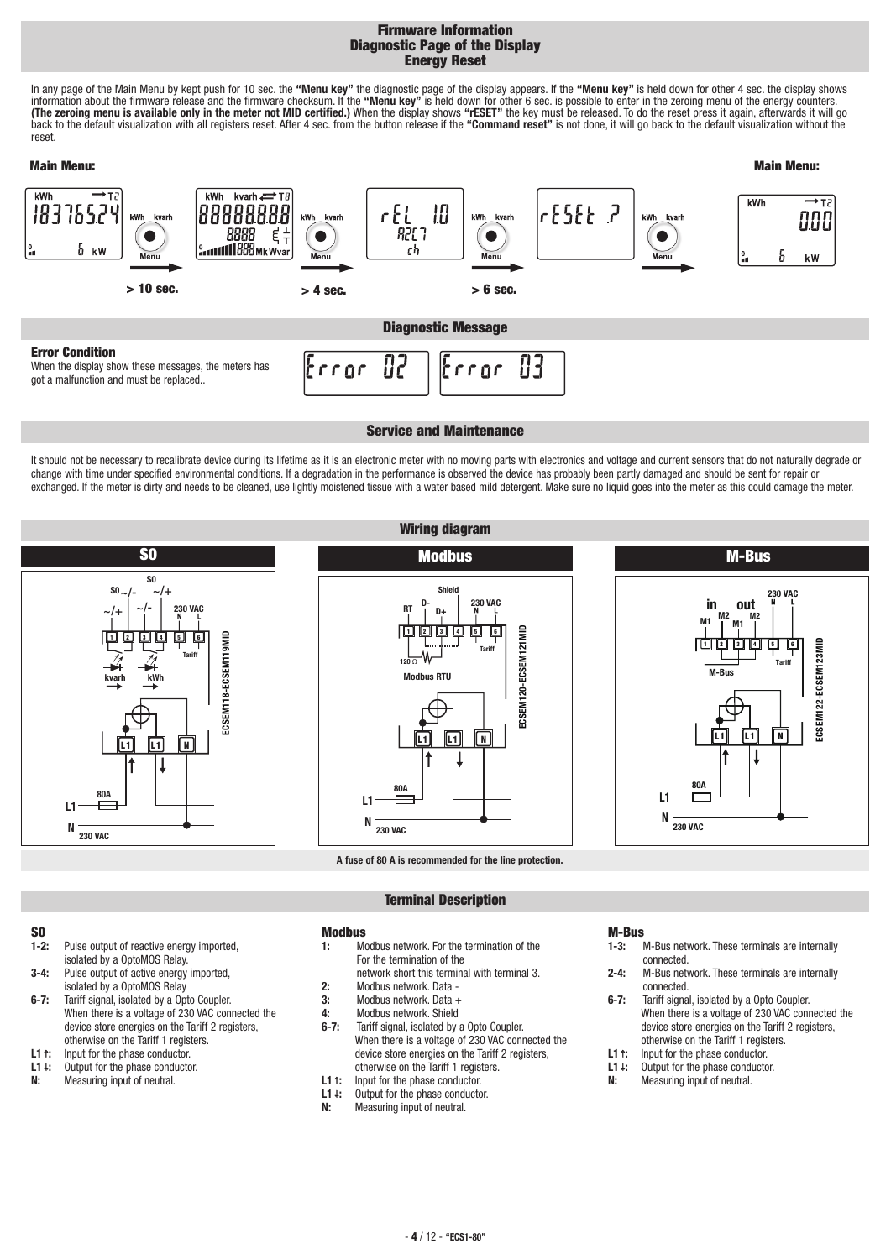# **Firmware Information Diagnostic Page of the Display Energy Reset**

In any page of the Main Menu by kept push for 10 sec. the **"Menu key"** the diagnostic page of the display appears. If the **"Menu key"** is held down for other 4 sec. the display shows information about the firmware release and the firmware checksum. If the **"Menu key"** is held down for other 6 sec. is possible to enter in the zeroing menu of the energy counters. **(The zeroing menu is available only in the meter not MID certified.)** When the display shows **"rESET"** the key must be released. To do the reset press it again, afterwards it will go back to the default visualization with all registers reset. After 4 sec. from the button release if the **"Command reset"** is not done, it will go back to the default visualization without the reset.



## **Service and Maintenance**

It should not be necessary to recalibrate device during its lifetime as it is an electronic meter with no moving parts with electronics and voltage and current sensors that do not naturally degrade or change with time under specified environmental conditions. If a degradation in the performance is observed the device has probably been partly damaged and should be sent for repair or exchanged. If the meter is dirty and needs to be cleaned, use lightly moistened tissue with a water based mild detergent. Make sure no liquid goes into the meter as this could damage the meter.

**Wiring diagram**







**A fuse of 80 A is recommended for the line protection.**

# **Terminal Description**

# **S0**

- **1-2:** Pulse output of reactive energy imported, isolated by a OptoMOS Relay.
- **3-4:** Pulse output of active energy imported, isolated by a OptoMOS Relay
- **6-7:** Tariff signal, isolated by a Opto Coupler. When there is a voltage of 230 VAC connected the device store energies on the Tariff 2 registers, otherwise on the Tariff 1 registers.
- **L1***↑***:** Input for the phase conductor.
- **L1***↓***:** Output for the phase conductor.
- **N:** Measuring input of neutral.

# **1:** Modbus network. For the termination of the For the termination of the

- network short this terminal with terminal 3. **2:** Modbus network. Data -
- **3:** Modbus network. Data +

**Modbus**

- **4:** Modbus network. Shield
- **6-7:** Tariff signal, isolated by a Opto Coupler. When there is a voltage of 230 VAC connected the device store energies on the Tariff 2 registers, otherwise on the Tariff 1 registers.
- **L1***↑***:** Input for the phase conductor.
- **L1***↓***:** Output for the phase conductor.
- **Measuring input of neutral.**

# **M-Bus**

- **1-3:** M-Bus network. These terminals are internally connected.
- **2-4:** M-Bus network. These terminals are internally connected.
- **6-7:** Tariff signal, isolated by a Opto Coupler. When there is a voltage of 230 VAC connected the device store energies on the Tariff 2 registers, otherwise on the Tariff 1 registers.
- **L1***↑***:** Input for the phase conductor.
- **L1***↓***:** Output for the phase conductor.
- **N:** Measuring input of neutral.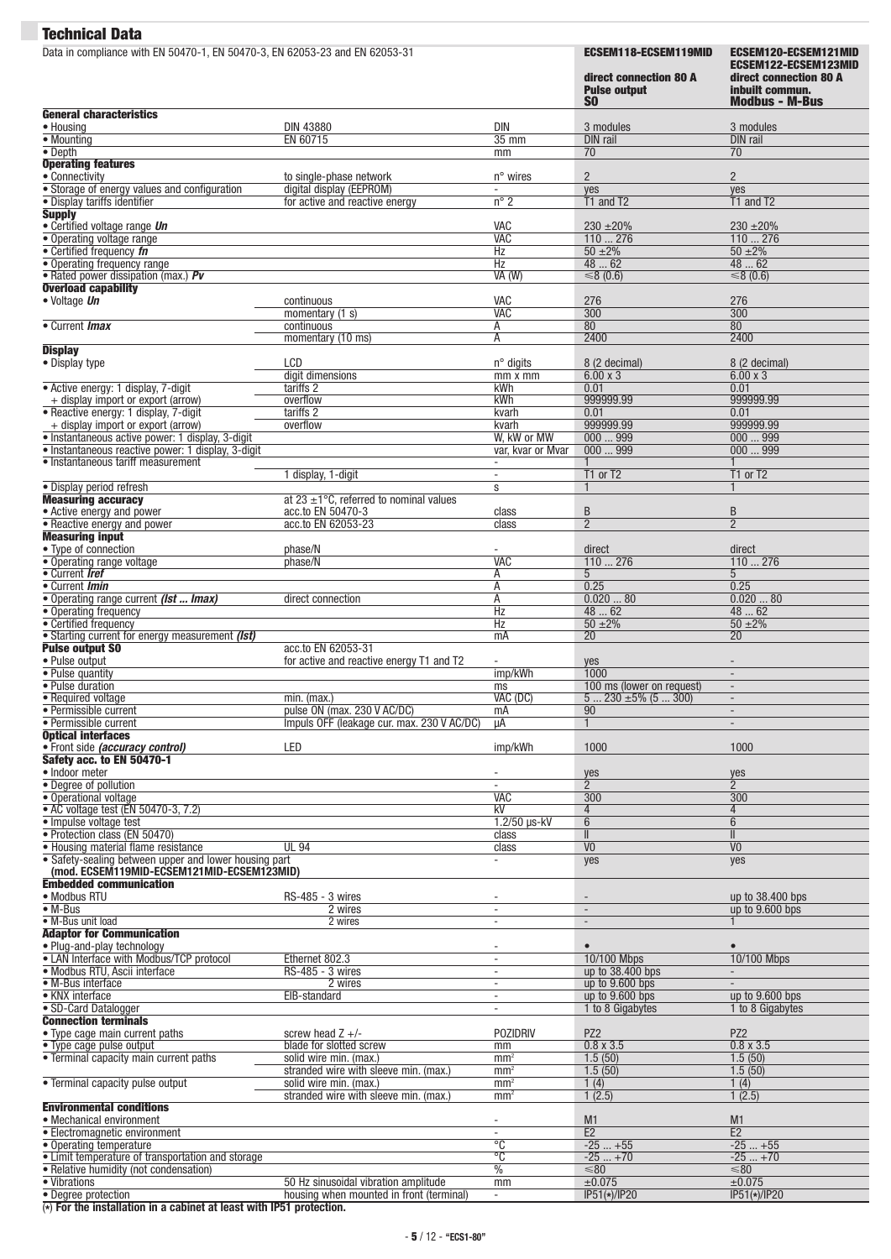| Data in compliance with EN 50470-1, EN 50470-3, EN 62053-23 and EN 62053-31                                                                                                                                                                                                                                                                                                                                                                                                                                                                                                                                                                                                              |                                                                           |                                                      | <b>ECSEM118-ECSEM119MID</b><br>direct connection 80 A<br><b>Pulse output</b><br><b>SO</b> | ECSEM120-ECSEM121MID<br>ECSEM122-ECSEM123MID<br>direct connection 80 A<br>inbuilt commun.<br><b>Modbus - M-Bus</b> |
|------------------------------------------------------------------------------------------------------------------------------------------------------------------------------------------------------------------------------------------------------------------------------------------------------------------------------------------------------------------------------------------------------------------------------------------------------------------------------------------------------------------------------------------------------------------------------------------------------------------------------------------------------------------------------------------|---------------------------------------------------------------------------|------------------------------------------------------|-------------------------------------------------------------------------------------------|--------------------------------------------------------------------------------------------------------------------|
| <b>General characteristics</b><br>• Housing                                                                                                                                                                                                                                                                                                                                                                                                                                                                                                                                                                                                                                              | <b>DIN 43880</b>                                                          | <b>DIN</b>                                           | 3 modules                                                                                 | 3 modules                                                                                                          |
| $\bullet$ Mounting                                                                                                                                                                                                                                                                                                                                                                                                                                                                                                                                                                                                                                                                       | EN 60715                                                                  | $35$ mm                                              | <b>DIN</b> rail                                                                           | <b>DIN</b> rail                                                                                                    |
| $\overline{\bullet}$ Depth                                                                                                                                                                                                                                                                                                                                                                                                                                                                                                                                                                                                                                                               |                                                                           | mm                                                   | 70                                                                                        | $\overline{70}$                                                                                                    |
| <b>Operating features</b><br>• Connectivity                                                                                                                                                                                                                                                                                                                                                                                                                                                                                                                                                                                                                                              |                                                                           | $n^{\circ}$ wires                                    | $\overline{2}$                                                                            | $\overline{2}$                                                                                                     |
| • Storage of energy values and configuration                                                                                                                                                                                                                                                                                                                                                                                                                                                                                                                                                                                                                                             | to single-phase network<br>digital display (EEPROM)                       | $\overline{\phantom{a}}$                             | yes                                                                                       | yes                                                                                                                |
| · Display tariffs identifier                                                                                                                                                                                                                                                                                                                                                                                                                                                                                                                                                                                                                                                             | for active and reactive energy                                            | $n^{\circ}$ 2                                        | T1 and T2                                                                                 | T <sub>1</sub> and T <sub>2</sub>                                                                                  |
| <b>Supply</b><br>· Certified voltage range Un                                                                                                                                                                                                                                                                                                                                                                                                                                                                                                                                                                                                                                            |                                                                           |                                                      |                                                                                           |                                                                                                                    |
| • Operating voltage range                                                                                                                                                                                                                                                                                                                                                                                                                                                                                                                                                                                                                                                                |                                                                           | VAC<br><b>VAC</b>                                    | $230 \pm 20\%$<br>110276                                                                  | $230 \pm 20\%$<br>110276                                                                                           |
| • Certified frequency fn                                                                                                                                                                                                                                                                                                                                                                                                                                                                                                                                                                                                                                                                 |                                                                           | Hz                                                   | $50 + 2\%$                                                                                | $50 + 2\%$                                                                                                         |
| • Operating frequency range<br>• Rated power dissipation (max.) Pv                                                                                                                                                                                                                                                                                                                                                                                                                                                                                                                                                                                                                       |                                                                           | Hz<br>VA (W)                                         | 4862<br>≤8 (0.6)                                                                          | 4862<br>≤8 $(0.6)$                                                                                                 |
| <b>Overload capability</b>                                                                                                                                                                                                                                                                                                                                                                                                                                                                                                                                                                                                                                                               |                                                                           |                                                      |                                                                                           |                                                                                                                    |
| · Voltage Un                                                                                                                                                                                                                                                                                                                                                                                                                                                                                                                                                                                                                                                                             | continuous                                                                | VAC                                                  | 276                                                                                       | 276                                                                                                                |
|                                                                                                                                                                                                                                                                                                                                                                                                                                                                                                                                                                                                                                                                                          | momentary $(1 s)$                                                         | <b>VAC</b>                                           | 300                                                                                       | $\overline{300}$                                                                                                   |
| • Current <i>Imax</i>                                                                                                                                                                                                                                                                                                                                                                                                                                                                                                                                                                                                                                                                    | continuous<br>momentary (10 ms)                                           | Ā<br>Α                                               | 80<br>2400                                                                                | 80<br>2400                                                                                                         |
| <b>Display</b>                                                                                                                                                                                                                                                                                                                                                                                                                                                                                                                                                                                                                                                                           |                                                                           |                                                      |                                                                                           |                                                                                                                    |
| • Display type                                                                                                                                                                                                                                                                                                                                                                                                                                                                                                                                                                                                                                                                           | LCD                                                                       | $n^{\circ}$ digits                                   | 8 (2 decimal)                                                                             | 8 (2 decimal)                                                                                                      |
| • Active energy: 1 display, 7-digit                                                                                                                                                                                                                                                                                                                                                                                                                                                                                                                                                                                                                                                      | digit dimensions<br>tariffs 2                                             | mm x mm<br>kWh                                       | $6.00 \times 3$<br>0.01                                                                   | $6.00 \times 3$<br>0.01                                                                                            |
| + display import or export (arrow)                                                                                                                                                                                                                                                                                                                                                                                                                                                                                                                                                                                                                                                       | overflow                                                                  | kWh                                                  | 999999.99                                                                                 | 999999.99                                                                                                          |
| • Reactive energy: 1 display, 7-digit                                                                                                                                                                                                                                                                                                                                                                                                                                                                                                                                                                                                                                                    | tariffs 2                                                                 | kvarh                                                | 0.01                                                                                      | 0.01                                                                                                               |
| + display import or export (arrow)                                                                                                                                                                                                                                                                                                                                                                                                                                                                                                                                                                                                                                                       | overflow                                                                  | kvarh                                                | 999999.99                                                                                 | 999999.99                                                                                                          |
| · Instantaneous active power: 1 display, 3-digit<br>· Instantaneous reactive power: 1 display, 3-digit                                                                                                                                                                                                                                                                                                                                                                                                                                                                                                                                                                                   |                                                                           | W, kW or MW<br>var, kvar or Mvar                     | 000999<br>000999                                                                          | 000999<br>000999                                                                                                   |
| • Instantaneous tariff measurement                                                                                                                                                                                                                                                                                                                                                                                                                                                                                                                                                                                                                                                       |                                                                           | $\blacksquare$                                       |                                                                                           |                                                                                                                    |
|                                                                                                                                                                                                                                                                                                                                                                                                                                                                                                                                                                                                                                                                                          | 1 display, 1-digit                                                        | $\bar{a}$                                            | T1 or T2                                                                                  | T1 or T2                                                                                                           |
| · Display period refresh<br><b>Measuring accuracy</b>                                                                                                                                                                                                                                                                                                                                                                                                                                                                                                                                                                                                                                    | at 23 $\pm$ 1°C, referred to nominal values                               | S                                                    | $\mathbf{1}$                                                                              |                                                                                                                    |
| • Active energy and power                                                                                                                                                                                                                                                                                                                                                                                                                                                                                                                                                                                                                                                                | acc.to EN 50470-3                                                         | class                                                | B                                                                                         | B                                                                                                                  |
| • Reactive energy and power                                                                                                                                                                                                                                                                                                                                                                                                                                                                                                                                                                                                                                                              | acc.to EN 62053-23                                                        | class                                                | $\overline{2}$                                                                            | $\overline{2}$                                                                                                     |
| <b>Measuring input</b>                                                                                                                                                                                                                                                                                                                                                                                                                                                                                                                                                                                                                                                                   |                                                                           |                                                      |                                                                                           |                                                                                                                    |
| • Type of connection<br>• Operating range voltage                                                                                                                                                                                                                                                                                                                                                                                                                                                                                                                                                                                                                                        | phase/N<br>phase/N                                                        | <b>VAC</b>                                           | direct<br>110276                                                                          | direct<br>110276                                                                                                   |
| • Current Iref                                                                                                                                                                                                                                                                                                                                                                                                                                                                                                                                                                                                                                                                           |                                                                           | Α                                                    | 5                                                                                         | 5 <sup>5</sup>                                                                                                     |
| • Current Imin                                                                                                                                                                                                                                                                                                                                                                                                                                                                                                                                                                                                                                                                           |                                                                           | Ā                                                    | 0.25                                                                                      | 0.25                                                                                                               |
| • Operating range current (Ist  Imax)                                                                                                                                                                                                                                                                                                                                                                                                                                                                                                                                                                                                                                                    | direct connection                                                         | Α<br>$\overline{Hz}$                                 | 0.02080<br>4862                                                                           | 0.02080<br>4862                                                                                                    |
| • Operating frequency<br>• Certified frequency                                                                                                                                                                                                                                                                                                                                                                                                                                                                                                                                                                                                                                           |                                                                           | Hz                                                   | $50 + 2\%$                                                                                | $50 + 2\%$                                                                                                         |
| • Starting current for energy measurement (Ist)                                                                                                                                                                                                                                                                                                                                                                                                                                                                                                                                                                                                                                          |                                                                           | mA                                                   | 20                                                                                        | $\overline{20}$                                                                                                    |
| <b>Pulse output SO</b>                                                                                                                                                                                                                                                                                                                                                                                                                                                                                                                                                                                                                                                                   | acc.to EN 62053-31                                                        |                                                      |                                                                                           |                                                                                                                    |
| • Pulse output<br>• Pulse quantity                                                                                                                                                                                                                                                                                                                                                                                                                                                                                                                                                                                                                                                       | for active and reactive energy T1 and T2                                  | imp/kWh                                              | yes<br>1000                                                                               | $\overline{\phantom{a}}$                                                                                           |
| • Pulse duration                                                                                                                                                                                                                                                                                                                                                                                                                                                                                                                                                                                                                                                                         |                                                                           | ms                                                   | 100 ms (lower on request)                                                                 |                                                                                                                    |
| • Required voltage                                                                                                                                                                                                                                                                                                                                                                                                                                                                                                                                                                                                                                                                       | min. (max.)                                                               | VAC (DC)                                             | $5230 \pm 5\% (5300)$                                                                     |                                                                                                                    |
| • Permissible current<br>• Permissible current                                                                                                                                                                                                                                                                                                                                                                                                                                                                                                                                                                                                                                           | pulse ON (max. 230 V AC/DC)<br>Impuls OFF (leakage cur. max. 230 V AC/DC) | mA                                                   | 90<br>$\mathbf{1}$                                                                        | $\blacksquare$<br>$\overline{\phantom{a}}$                                                                         |
| <b>Optical interfaces</b>                                                                                                                                                                                                                                                                                                                                                                                                                                                                                                                                                                                                                                                                |                                                                           | μA                                                   |                                                                                           |                                                                                                                    |
| • Front side (accuracy control)                                                                                                                                                                                                                                                                                                                                                                                                                                                                                                                                                                                                                                                          | LED                                                                       | imp/kWh                                              | 1000                                                                                      | 1000                                                                                                               |
| Safety acc. to EN 50470-1                                                                                                                                                                                                                                                                                                                                                                                                                                                                                                                                                                                                                                                                |                                                                           |                                                      |                                                                                           |                                                                                                                    |
| · Indoor meter<br>• Degree of pollution                                                                                                                                                                                                                                                                                                                                                                                                                                                                                                                                                                                                                                                  |                                                                           | $\overline{\phantom{a}}$                             | yes<br>$\overline{2}$                                                                     | yes<br>$\overline{2}$                                                                                              |
| · Operational voltage                                                                                                                                                                                                                                                                                                                                                                                                                                                                                                                                                                                                                                                                    |                                                                           | <b>VAC</b>                                           | 300                                                                                       | 300                                                                                                                |
| • AC voltage test (EN 50470-3, 7.2)                                                                                                                                                                                                                                                                                                                                                                                                                                                                                                                                                                                                                                                      |                                                                           | kV                                                   | $\overline{4}$                                                                            | 4                                                                                                                  |
| · Impulse voltage test                                                                                                                                                                                                                                                                                                                                                                                                                                                                                                                                                                                                                                                                   |                                                                           | $1.2/50$ µs-kV                                       | 6                                                                                         | 6                                                                                                                  |
| · Protection class (EN 50470)<br>• Housing material flame resistance                                                                                                                                                                                                                                                                                                                                                                                                                                                                                                                                                                                                                     | <b>UL 94</b>                                                              | class<br>class                                       | $\mathbf{I}$<br>$\overline{V}$                                                            | $\parallel$<br>$\overline{V}$                                                                                      |
| • Safety-sealing between upper and lower housing part                                                                                                                                                                                                                                                                                                                                                                                                                                                                                                                                                                                                                                    |                                                                           | $\overline{\phantom{a}}$                             | yes                                                                                       | yes                                                                                                                |
| (mod. ECSEM119MID-ECSEM121MID-ECSEM123MID)                                                                                                                                                                                                                                                                                                                                                                                                                                                                                                                                                                                                                                               |                                                                           |                                                      |                                                                                           |                                                                                                                    |
| <b>Embedded communication</b>                                                                                                                                                                                                                                                                                                                                                                                                                                                                                                                                                                                                                                                            | RS-485 - 3 wires                                                          |                                                      |                                                                                           | up to 38.400 bps                                                                                                   |
|                                                                                                                                                                                                                                                                                                                                                                                                                                                                                                                                                                                                                                                                                          |                                                                           |                                                      | $\sim$                                                                                    | up to 9.600 bps                                                                                                    |
|                                                                                                                                                                                                                                                                                                                                                                                                                                                                                                                                                                                                                                                                                          |                                                                           | $\overline{\phantom{a}}$                             |                                                                                           |                                                                                                                    |
|                                                                                                                                                                                                                                                                                                                                                                                                                                                                                                                                                                                                                                                                                          | 2 wires<br>2 wires                                                        | $\overline{\phantom{a}}$                             | $\overline{\phantom{a}}$                                                                  | $\mathbf{1}$                                                                                                       |
|                                                                                                                                                                                                                                                                                                                                                                                                                                                                                                                                                                                                                                                                                          |                                                                           |                                                      |                                                                                           |                                                                                                                    |
|                                                                                                                                                                                                                                                                                                                                                                                                                                                                                                                                                                                                                                                                                          |                                                                           | $\overline{\phantom{a}}$<br>$\overline{\phantom{a}}$ | $\bullet$                                                                                 | $\bullet$                                                                                                          |
|                                                                                                                                                                                                                                                                                                                                                                                                                                                                                                                                                                                                                                                                                          | Ethernet 802.3<br>RS-485 - 3 wires                                        | $\overline{\phantom{a}}$                             | 10/100 Mbps<br>up to 38.400 bps                                                           | 10/100 Mbps<br>$\mathcal{L}^{\mathcal{L}}$                                                                         |
|                                                                                                                                                                                                                                                                                                                                                                                                                                                                                                                                                                                                                                                                                          | 2 wires                                                                   | $\overline{\phantom{a}}$                             | up to $9.600$ bps                                                                         |                                                                                                                    |
|                                                                                                                                                                                                                                                                                                                                                                                                                                                                                                                                                                                                                                                                                          | EIB-standard                                                              | $\overline{\phantom{a}}$                             | up to $9.600$ bps                                                                         | up to 9.600 bps                                                                                                    |
|                                                                                                                                                                                                                                                                                                                                                                                                                                                                                                                                                                                                                                                                                          |                                                                           | $\overline{\phantom{a}}$                             | 1 to 8 Gigabytes                                                                          | 1 to 8 Gigabytes                                                                                                   |
|                                                                                                                                                                                                                                                                                                                                                                                                                                                                                                                                                                                                                                                                                          | screw head $Z +/-$                                                        | <b>POZIDRIV</b>                                      | PZ <sub>2</sub>                                                                           | PZ <sub>2</sub>                                                                                                    |
|                                                                                                                                                                                                                                                                                                                                                                                                                                                                                                                                                                                                                                                                                          | blade for slotted screw                                                   | mm                                                   | $0.8 \times 3.5$                                                                          | $0.8 \times 3.5$                                                                                                   |
|                                                                                                                                                                                                                                                                                                                                                                                                                                                                                                                                                                                                                                                                                          | solid wire min. (max.)                                                    | mm <sup>2</sup>                                      | 1.5(50)                                                                                   | 1.5(50)                                                                                                            |
|                                                                                                                                                                                                                                                                                                                                                                                                                                                                                                                                                                                                                                                                                          | stranded wire with sleeve min. (max.)                                     | mm <sup>2</sup>                                      | 1.5(50)                                                                                   | 1.5(50)                                                                                                            |
|                                                                                                                                                                                                                                                                                                                                                                                                                                                                                                                                                                                                                                                                                          | solid wire min. (max.)<br>stranded wire with sleeve min. (max.)           | mm <sup>2</sup><br>mm <sup>2</sup>                   | 1(4)<br>1(2.5)                                                                            | 1(4)<br>1(2.5)                                                                                                     |
|                                                                                                                                                                                                                                                                                                                                                                                                                                                                                                                                                                                                                                                                                          |                                                                           |                                                      |                                                                                           |                                                                                                                    |
|                                                                                                                                                                                                                                                                                                                                                                                                                                                                                                                                                                                                                                                                                          |                                                                           | $\overline{\phantom{a}}$                             | M1                                                                                        | M <sub>1</sub>                                                                                                     |
|                                                                                                                                                                                                                                                                                                                                                                                                                                                                                                                                                                                                                                                                                          |                                                                           | $\Box$<br>$\overline{C}$                             | E2                                                                                        | E2                                                                                                                 |
|                                                                                                                                                                                                                                                                                                                                                                                                                                                                                                                                                                                                                                                                                          |                                                                           | $\overline{\text{c}}$                                | $-25+55$<br>$-25+70$                                                                      | $-25+55$<br>$-25+70$                                                                                               |
| · Modbus RTU<br>$\bullet$ M-Bus<br>• M-Bus unit load<br><b>Adaptor for Communication</b><br>• Plug-and-play technology<br>• LAN Interface with Modbus/TCP protocol<br>· Modbus RTU, Ascii interface<br>• M-Bus interface<br>• KNX interface<br>· SD-Card Datalogger<br><b>Connection terminals</b><br>• Type cage main current paths<br>• Type cage pulse output<br>• Terminal capacity main current paths<br>• Terminal capacity pulse output<br><b>Environmental conditions</b><br>• Mechanical environment<br>• Electromagnetic environment<br>• Operating temperature<br>• Limit temperature of transportation and storage<br>• Relative humidity (not condensation)<br>• Vibrations | 50 Hz sinusoidal vibration amplitude                                      | $\frac{0}{0}$<br>mm                                  | $\leq 80$<br>±0.075                                                                       | $\leq 80$<br>±0.075                                                                                                |

(**\***) **For the installation in a cabinet at least with IP51 protection.**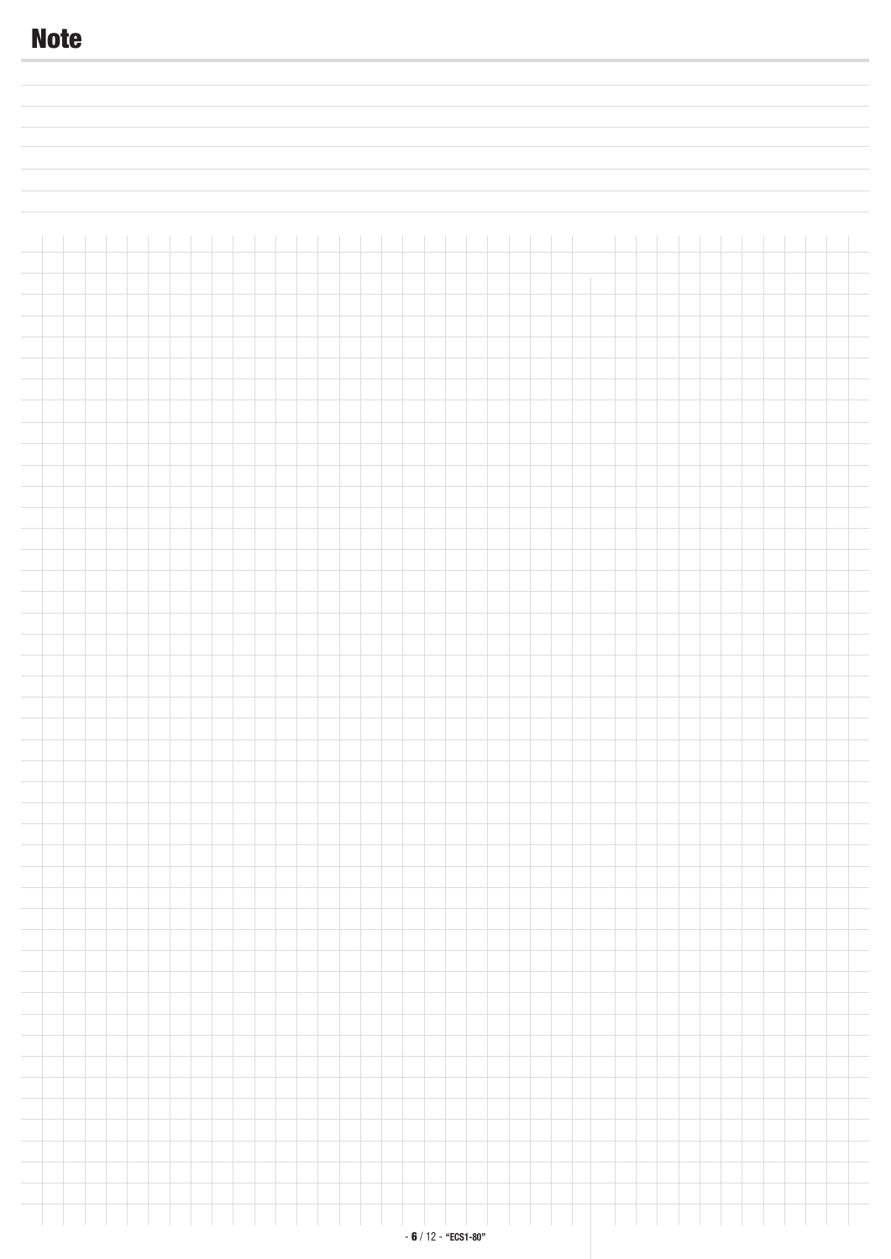# **Note**i.  $\overline{a}$  $\overline{a}$  $\overline{\phantom{a}}$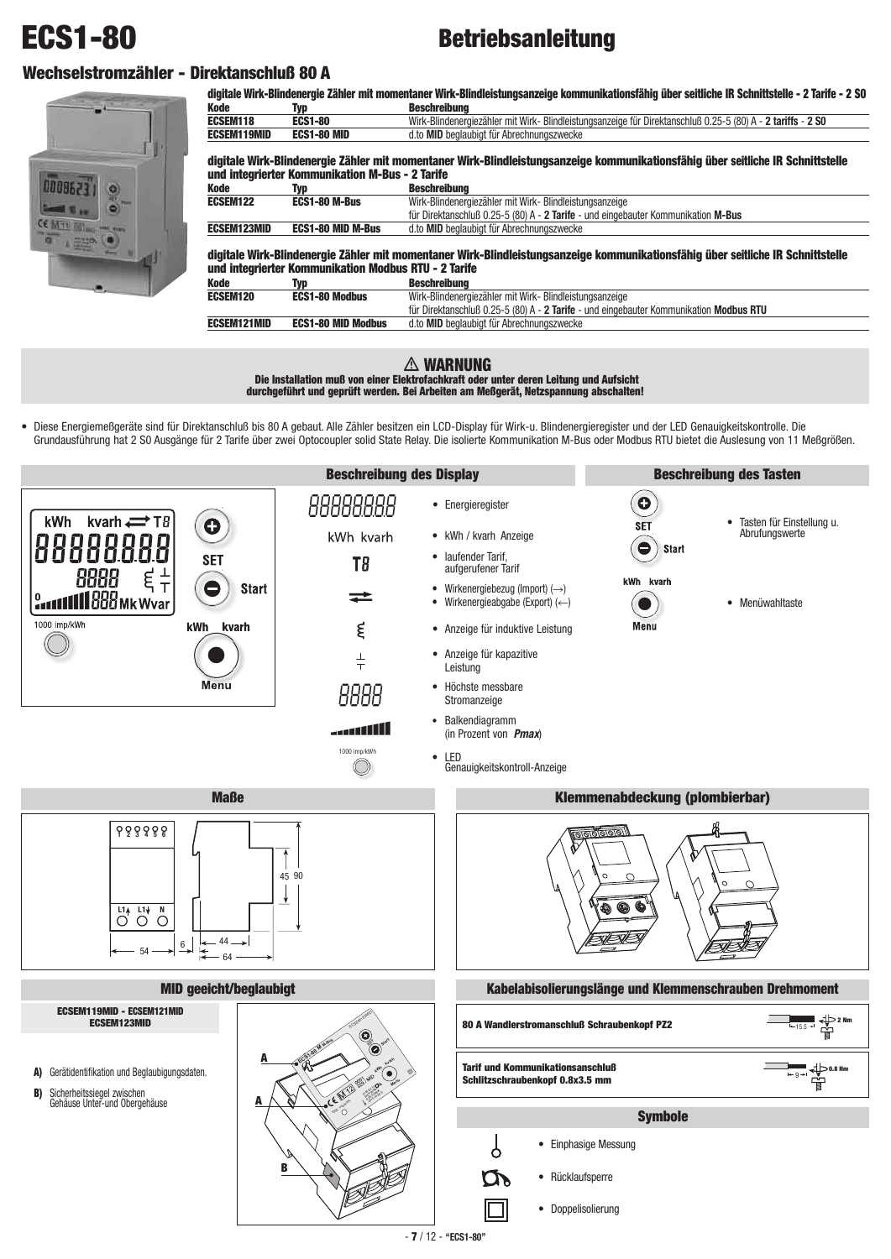# **ECS1-80**

# **Betriebsanleitung**

# **Wechselstromzähler - Direktanschluß 80 A**



|                    |                                                      | digitale Wirk-Blindenergie Zähler mit momentaner Wirk-Blindleistungsanzeige kommunikationsfähig über seitliche IR Schnittstelle - 2 Tarife - 2 S0 |
|--------------------|------------------------------------------------------|---------------------------------------------------------------------------------------------------------------------------------------------------|
| <b>Kode</b>        | Typ                                                  | <b>Beschreibung</b>                                                                                                                               |
| ECSEM118           | <b>ECS1-80</b>                                       | Wirk-Blindenergiezähler mit Wirk- Blindleistungsanzeige für Direktanschluß 0.25-5 (80) A - 2 tariffs - 2 S0                                       |
| <b>ECSEM119MID</b> | <b>ECS1-80 MID</b>                                   | d.to MID beglaubigt für Abrechnungszwecke                                                                                                         |
|                    |                                                      | digitale Wirk-Blindenergie Zähler mit momentaner Wirk-Blindleistungsanzeige kommunikationsfähig über seitliche IR Schnittstelle                   |
|                    | und integrierter Kommunikation M-Bus - 2 Tarife      |                                                                                                                                                   |
| Kode               | Typ                                                  | Beschreibung                                                                                                                                      |
| ECSEM122           | <b>ECS1-80 M-Bus</b>                                 | Wirk-Blindenergiezähler mit Wirk- Blindleistungsanzeige                                                                                           |
|                    |                                                      | für Direktanschluß 0.25-5 (80) A - 2 Tarife - und eingebauter Kommunikation M-Bus                                                                 |
| <b>ECSEM123MID</b> | <b>ECS1-80 MID M-Bus</b>                             | d.to MID beglaubigt für Abrechnungszwecke                                                                                                         |
|                    | und integrierter Kommunikation Modbus RTU - 2 Tarife | digitale Wirk-Blindenergie Zähler mit momentaner Wirk-Blindleistungsanzeige kommunikationsfähig über seitliche IR Schnittstelle                   |
|                    |                                                      |                                                                                                                                                   |
| Kode               | Typ                                                  | <b>Beschreibung</b>                                                                                                                               |
| <b>ECSEM120</b>    | <b>ECS1-80 Modbus</b>                                | Wirk-Blindenergiezähler mit Wirk- Blindleistungsanzeige                                                                                           |
|                    |                                                      | für Direktanschluß 0.25-5 (80) A - 2 Tarife - und eingebauter Kommunikation Modbus RTU                                                            |
| <b>ECSEM121MID</b> | <b>ECS1-80 MID Modbus</b>                            | d.to MID beglaubigt für Abrechnungszwecke                                                                                                         |

# **WARNUNG Die Installation muß von einer Elektrofachkraft oder unter deren Leitung und Aufsicht durchgeführt und geprüft werden. Bei Arbeiten am Meßgerät, Netzspannung abschalten!**

• Diese Energiemeßgeräte sind für Direktanschluß bis 80 A gebaut. Alle Zähler besitzen ein LCD-Display für Wirk-u. Blindenergieregister und der LED Genauigkeitskontrolle. Die Grundausführung hat 2 S0 Ausgänge für 2 Tarife über zwei Optocoupler solid State Relay. Die isolierte Kommunikation M-Bus oder Modbus RTU bietet die Auslesung von 11 Meßgrößen.

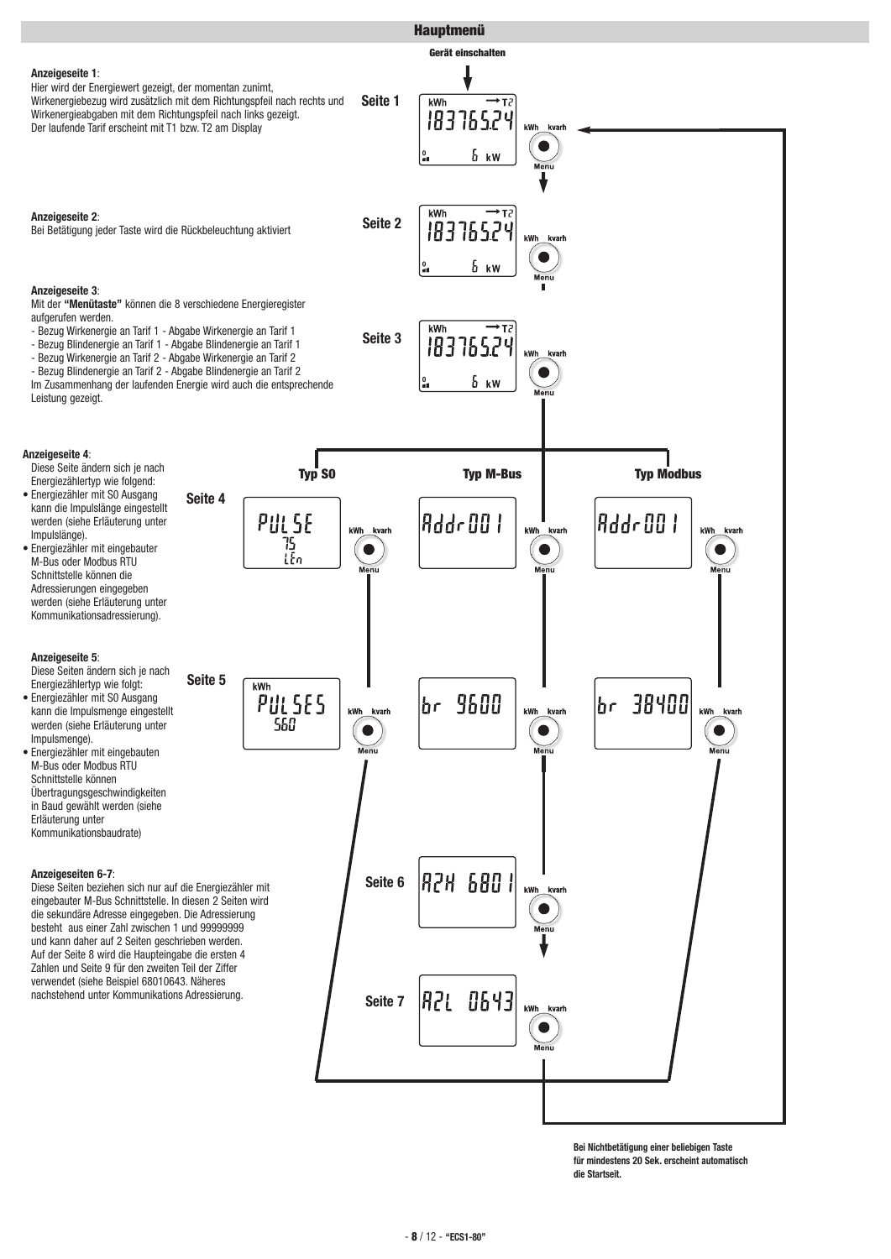

**Bei Nichtbetätigung einer beliebigen Taste für mindestens 20 Sek. erscheint automatisch die Startseit.**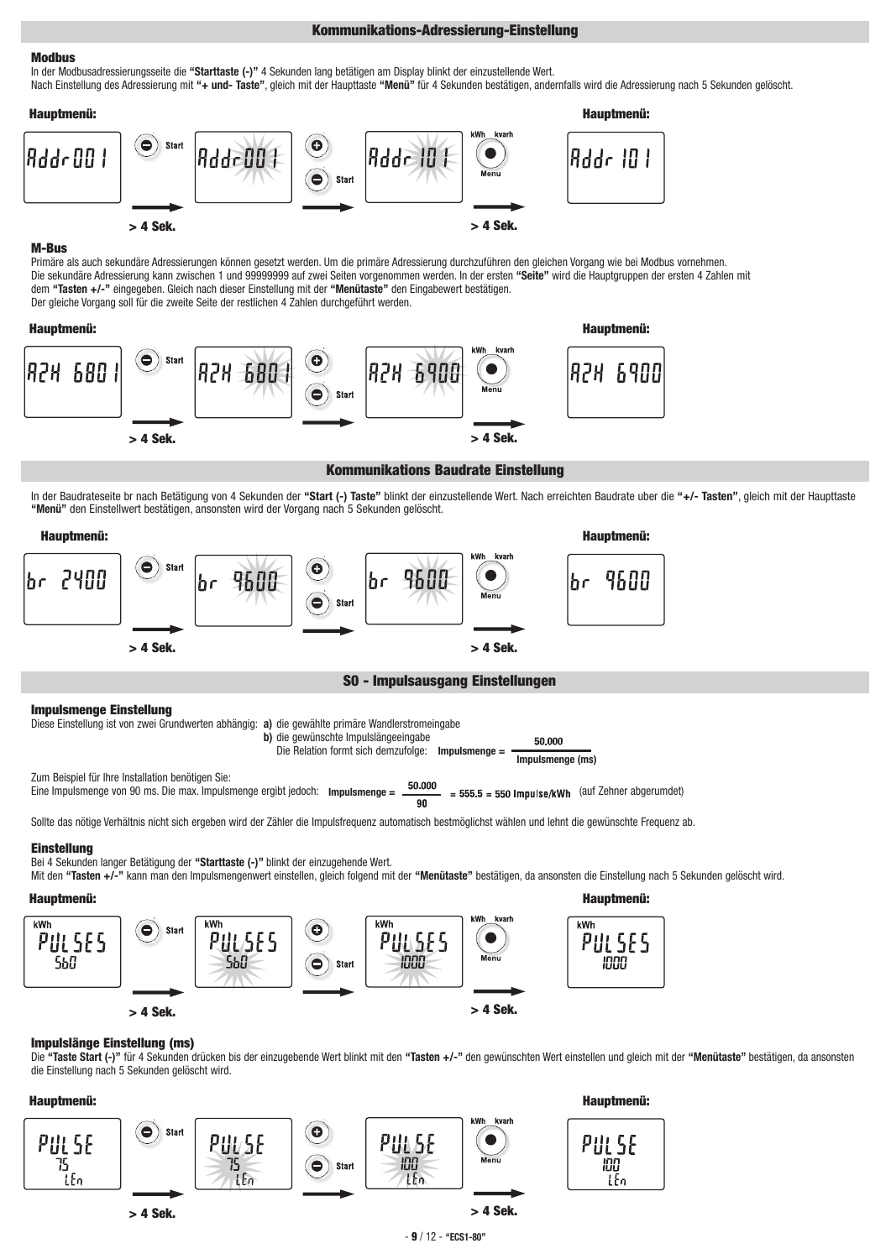# **Kommunikations-Adressierung-Einstellung**

# **Modbus**

In der Modbusadressierungsseite die **"Starttaste (-)"** 4 Sekunden lang betätigen am Display blinkt der einzustellende Wert. Nach Einstellung des Adressierung mit **"+ und- Taste"**, gleich mit der Haupttaste **"Menü"** für 4 Sekunden bestätigen, andernfalls wird die Adressierung nach 5 Sekunden gelöscht.



## **M-Bus**

Primäre als auch sekundäre Adressierungen können gesetzt werden. Um die primäre Adressierung durchzuführen den gleichen Vorgang wie bei Modbus vornehmen. Die sekundäre Adressierung kann zwischen 1 und 99999999 auf zwei Seiten vorgenommen werden. In der ersten **"Seite"** wird die Hauptgruppen der ersten 4 Zahlen mit dem **"Tasten +/-"** eingegeben. Gleich nach dieser Einstellung mit der **"Menütaste"** den Eingabewert bestätigen. Der gleiche Vorgang soll für die zweite Seite der restlichen 4 Zahlen durchgeführt werden.



## **Kommunikations Baudrate Einstellung**

In der Baudrateseite br nach Betätigung von 4 Sekunden der **"Start (-) Taste"** blinkt der einzustellende Wert. Nach erreichten Baudrate uber die **"+/- Tasten"**, gleich mit der Haupttaste **"Menü"** den Einstellwert bestätigen, ansonsten wird der Vorgang nach 5 Sekunden gelöscht.



**b)** die gewünschte Impulslängeeingabe

**Impulsmenge = Impulsmenge (ms)** Die Relation formt sich demzufolge:

50,000

Zum Beispiel für Ihre Installation benötigen Sie: Eine Impulsmenge von 90 ms. Die max. Impulsmenge ergibt jedoch: **Impulsmenge =**  $\frac{50.000}{90}$  **= 555.5 = 550 Impulse/kWh** (auf Zehner abgerumdet)

Sollte das nötige Verhältnis nicht sich ergeben wird der Zähler die Impulsfrequenz automatisch bestmöglichst wählen und lehnt die gewünschte Frequenz ab.

# **Einstellung**

Bei 4 Sekunden langer Betätigung der **"Starttaste (-)"** blinkt der einzugehende Wert.

Mit den **"Tasten +/-"** kann man den Impulsmengenwert einstellen, gleich folgend mit der **"Menütaste"** bestätigen, da ansonsten die Einstellung nach 5 Sekunden gelöscht wird.



# **Impulslänge Einstellung (ms)**

Die **"Taste Start (-)"** für 4 Sekunden drücken bis der einzugebende Wert blinkt mit den **"Tasten +/-"** den gewünschten Wert einstellen und gleich mit der **"Menütaste"** bestätigen, da ansonsten die Einstellung nach 5 Sekunden gelöscht wird.



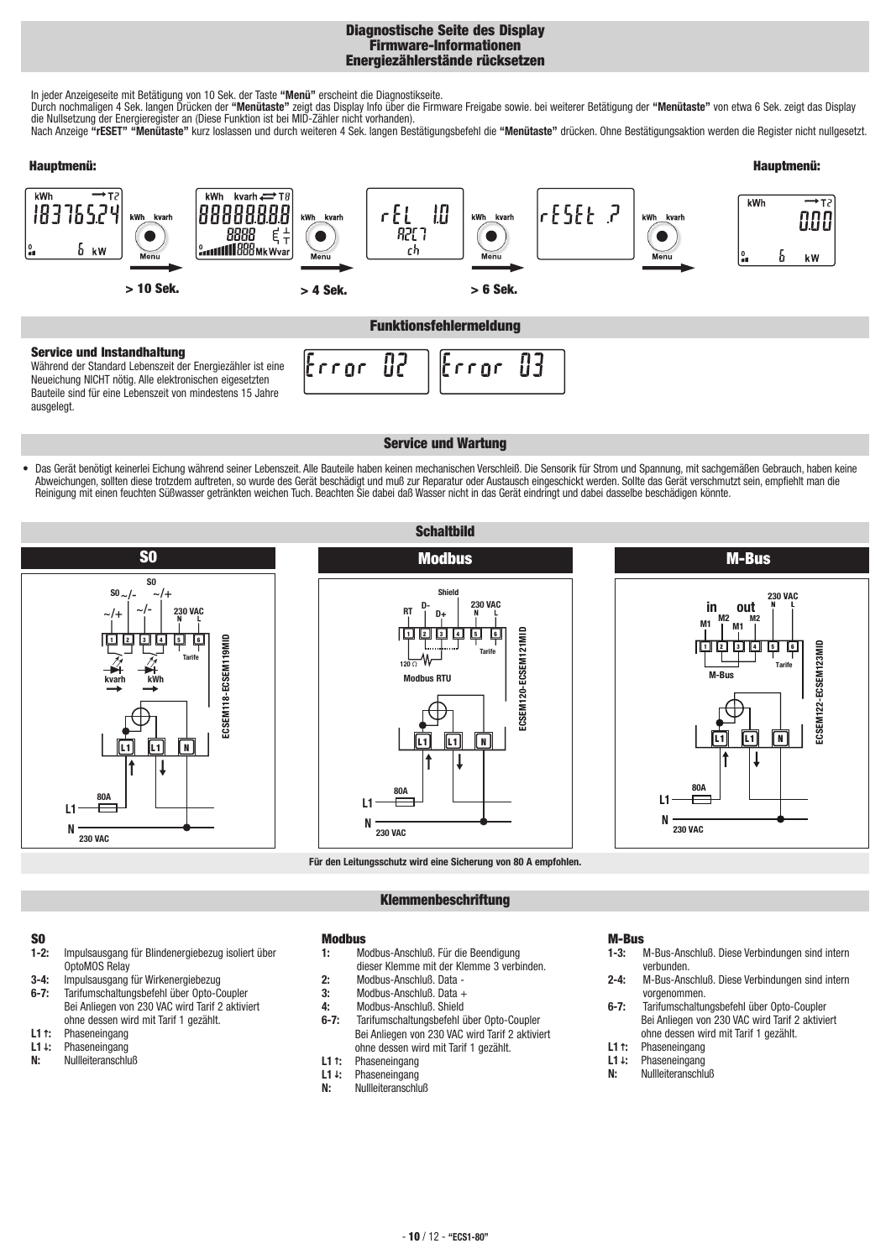# **Diagnostische Seite des Display Firmware-Informationen Energiezählerstände rücksetzen**

In jeder Anzeigeseite mit Betätigung von 10 Sek. der Taste **"Menü"** erscheint die Diagnostikseite.

Durch nochmaligen 4 Sek. langen Drücken der **"Menütaste"** zeigt das Display Info über die Firmware Freigabe sowie. bei weiterer Betätigung der **"Menütaste"** von etwa 6 Sek. zeigt das Display die Nullsetzung der Energieregister an (Diese Funktion ist bei MID-Zähler nicht vorhanden).

Nach Anzeige **"rESET" "Menütaste"** kurz loslassen und durch weiteren 4 Sek. langen Bestätigungsbefehl die **"Menütaste"** drücken. Ohne Bestätigungsaktion werden die Register nicht nullgesetzt.



82

rron

# **Service und Instandhaltung**

Während der Standard Lebenszeit der Energiezähler ist eine Neueichung NICHT nötig. Alle elektronischen eigesetzten Bauteile sind für eine Lebenszeit von mindestens 15 Jahre ausgelegt.

# **Service und Wartung**

Error

83

**•** Das Gerät benötigt keinerlei Eichung während seiner Lebenszeit. Alle Bauteile haben keinen mechanischen Verschleiß. Die Sensorik für Strom und Spannung, mit sachgemäßen Gebrauch, haben keine Abweichungen, sollten diese trotzdem auftreten, so wurde des Gerät beschädigt und muß zur Reparatur oder Austausch eingeschickt werden. Sollte das Gerät verschmutzt sein, empfiehlt man die Reinigung mit einen feuchten Süßwasser getränkten weichen Tuch. Beachten Sie dabei daß Wasser nicht in das Gerät eindringt und dabei dasselbe beschädigen könnte.

**Schaltbild**







**Für den Leitungsschutz wird eine Sicherung von 80 A empfohlen.**

# **Klemmenbeschriftung**

# **S0**

- Impulsausgang für Blindenergiebezug isoliert über OptoMOS Relay
- **3-4:** Impulsausgang für Wirkenergiebezug
- **6-7:** Tarifumschaltungsbefehl über Opto-Coupler Bei Anliegen von 230 VAC wird Tarif 2 aktiviert ohne dessen wird mit Tarif 1 gezählt.
- **L1***↑***:** Phaseneingang
- **L1***↓***:** Phaseneingang
- **N:** Nullleiteranschluß
- **Modbus**
- **1:** Modbus-Anschluß. Für die Beendigung dieser Klemme mit der Klemme 3 verbinden.
- **2:** Modbus-Anschluß. Data -
- **3:** Modbus-Anschluß. Data +
- **4:** Modbus-Anschluß. Shield<br>**6-7:** Tarifumschaltungsbefehl i
- **6-7:** Tarifumschaltungsbefehl über Opto-Coupler Bei Anliegen von 230 VAC wird Tarif 2 aktiviert ohne dessen wird mit Tarif 1 gezählt.
- 
- **L1***↑***:** Phaseneingang **L1***↓***:** Phaseneingang
- **N:** Nullleiteranschluß

- **M-Bus 1-3:** M-Bus-Anschluß. Diese Verbindungen sind intern verbunden.
- **2-4:** M-Bus-Anschluß. Diese Verbindungen sind intern vorgenommen.
- **6-7:** Tarifumschaltungsbefehl über Opto-Coupler Bei Anliegen von 230 VAC wird Tarif 2 aktiviert ohne dessen wird mit Tarif 1 gezählt.
- **L1***↑***:** Phaseneingang
- **L1***↓***:** Phaseneingang
- **N:** Nullleiteranschluß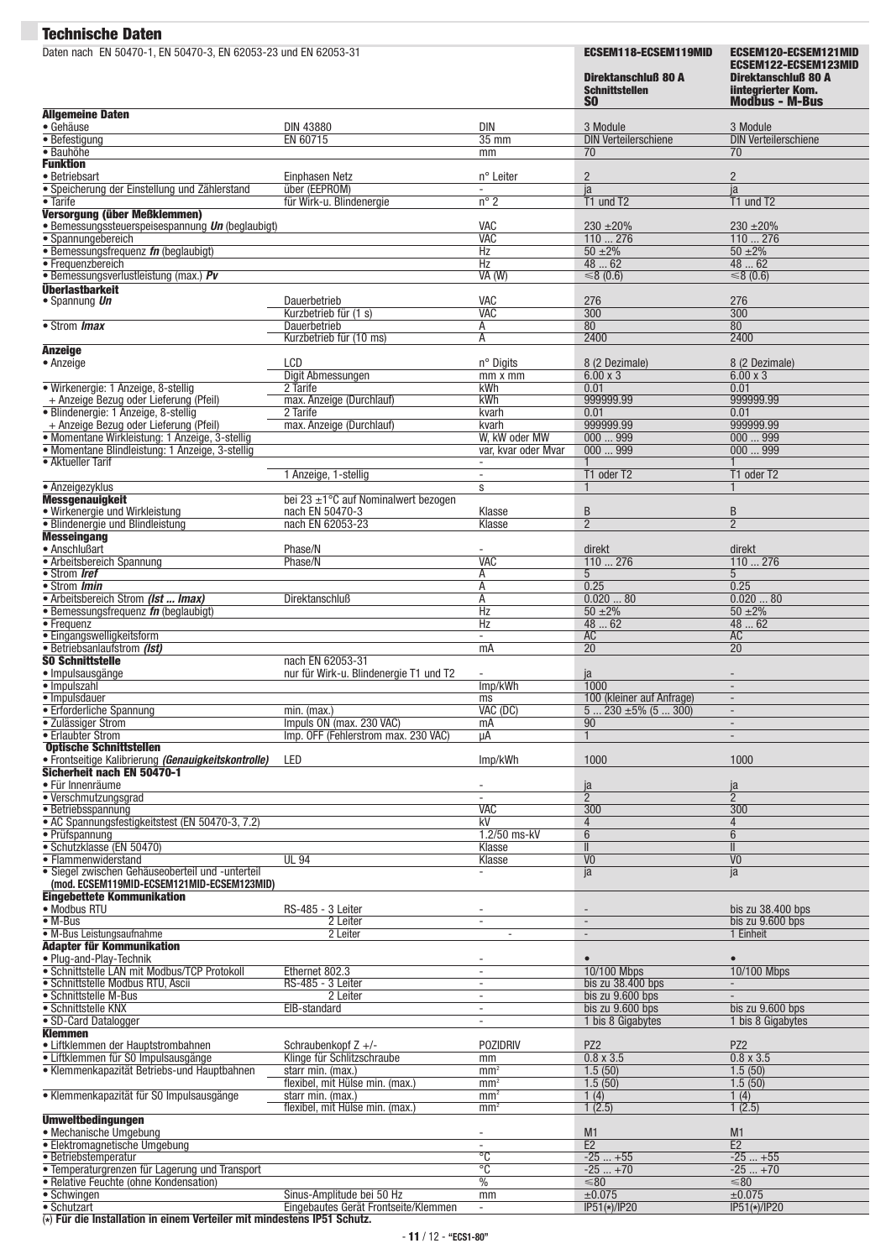| Daten nach EN 50470-1, EN 50470-3, EN 62053-23 und EN 62053-31                                    |                                                                   |                                                      | <b>ECSEM118-ECSEM119MID</b><br>Direktanschluß 80 A<br><b>Schnittstellen</b><br><b>SO</b> | ECSEM120-ECSEM121MID<br>ECSEM122-ECSEM123MID<br>Direktanschluß 80 A<br><b>lintegrierter Kom.</b><br><b>Modbus - M-Bus</b> |
|---------------------------------------------------------------------------------------------------|-------------------------------------------------------------------|------------------------------------------------------|------------------------------------------------------------------------------------------|---------------------------------------------------------------------------------------------------------------------------|
| <b>Allgemeine Daten</b><br>· Gehäuse                                                              |                                                                   | DIN                                                  | 3 Module                                                                                 |                                                                                                                           |
| • Befestigung                                                                                     | <b>DIN 43880</b><br>EN 60715                                      | $35 \text{ mm}$                                      | <b>DIN Verteilerschiene</b>                                                              | 3 Module<br><b>DIN Verteilerschiene</b>                                                                                   |
| · Bauhöhe                                                                                         |                                                                   | mm                                                   | 70                                                                                       | 70                                                                                                                        |
| <b>Funktion</b><br>· Betriebsart                                                                  | Einphasen Netz                                                    | n° Leiter                                            | $\sqrt{2}$                                                                               | $\overline{2}$                                                                                                            |
| · Speicherung der Einstellung und Zählerstand                                                     | über (EEPROM)                                                     | $\overline{\phantom{a}}$                             | ja                                                                                       | ja                                                                                                                        |
| • Tarife<br>Versorgung (über Meßklemmen)                                                          | für Wirk-u. Blindenergie                                          | $n^{\circ}$ 2                                        | T1 und T2                                                                                | T1 und T2                                                                                                                 |
| · Bemessungssteuerspeisespannung <i>Un</i> (beglaubigt)                                           |                                                                   | VAC                                                  | $230 \pm 20\%$                                                                           | $230 + 20%$                                                                                                               |
| · Spannungebereich                                                                                |                                                                   | <b>VAC</b>                                           | 110276                                                                                   | 110276                                                                                                                    |
| · Bemessungsfrequenz fn (beglaubigt)<br>• Frequenzbereich                                         |                                                                   | Hz<br>Hz                                             | $50 + 2\%$<br>4862                                                                       | $50 + 2\%$<br>48  62                                                                                                      |
| · Bemessungsverlustleistung (max.) Pv                                                             |                                                                   | VA (W)                                               | $\leq 8$ (0.6)                                                                           | ≤8 $(0.6)$                                                                                                                |
| <b>Überlastbarkeit</b>                                                                            | Dauerbetrieb                                                      | <b>VAC</b>                                           |                                                                                          | 276                                                                                                                       |
| • Spannung Un                                                                                     | Kurzbetrieb für (1 s)                                             | <b>VAC</b>                                           | 276<br>300                                                                               | $\overline{300}$                                                                                                          |
| • Strom <i>Imax</i>                                                                               | Dauerbetrieb                                                      | А                                                    | 80                                                                                       | 80                                                                                                                        |
|                                                                                                   | Kurzbetrieb für (10 ms)                                           | А                                                    | 2400                                                                                     | 2400                                                                                                                      |
| <b>Anzeige</b><br>• Anzeige                                                                       | LCD                                                               | n° Digits                                            | 8 (2 Dezimale)                                                                           | 8 (2 Dezimale)                                                                                                            |
|                                                                                                   | Digit Abmessungen                                                 | $mm \times mm$                                       | $6.00 \times 3$                                                                          | $6.00 \times 3$                                                                                                           |
| · Wirkenergie: 1 Anzeige, 8-stellig<br>+ Anzeige Bezug oder Lieferung (Pfeil)                     | 2 Tarife<br>max. Anzeige (Durchlauf)                              | kWh<br>kWh                                           | 0.01<br>999999.99                                                                        | 0.01<br>999999.99                                                                                                         |
| · Blindenergie: 1 Anzeige, 8-stellig                                                              | 2 Tarife                                                          | kvarh                                                | 0.01                                                                                     | 0.01                                                                                                                      |
| + Anzeige Bezug oder Lieferung (Pfeil)                                                            | max. Anzeige (Durchlauf)                                          | kvarh                                                | 999999.99                                                                                | 999999.99                                                                                                                 |
| · Momentane Wirkleistung: 1 Anzeige, 3-stellig<br>· Momentane Blindleistung: 1 Anzeige, 3-stellig |                                                                   | W, kW oder MW<br>var. kvar oder Mvar                 | 000999<br>000999                                                                         | 000999<br>000999                                                                                                          |
| • Aktueller Tarif                                                                                 |                                                                   | $\overline{\phantom{a}}$                             |                                                                                          |                                                                                                                           |
|                                                                                                   | 1 Anzeige, 1-stellig                                              | $\sim$                                               | T1 oder T2                                                                               | T1 oder T2                                                                                                                |
| • Anzeigezyklus<br><b>Messgenauigkeit</b>                                                         | bei 23 $\pm$ 1°C auf Nominalwert bezogen                          | s                                                    | $\mathbf{1}$                                                                             |                                                                                                                           |
| · Wirkenergie und Wirkleistung                                                                    | nach EN 50470-3                                                   | Klasse                                               | B                                                                                        | B                                                                                                                         |
| · Blindenergie und Blindleistung                                                                  | nach EN 62053-23                                                  | Klasse                                               | $\overline{2}$                                                                           | $\overline{2}$                                                                                                            |
| <b>Messeingang</b><br>• Anschlußart                                                               | Phase/N                                                           |                                                      | direkt                                                                                   | direkt                                                                                                                    |
| • Arbeitsbereich Spannung                                                                         | Phase/N                                                           | <b>VAC</b>                                           | 110276                                                                                   | 110276                                                                                                                    |
| • Strom Iref                                                                                      |                                                                   | Α                                                    | 5 <sup>5</sup>                                                                           | 5                                                                                                                         |
| • Strom <i>Imin</i><br>• Arbeitsbereich Strom (Ist  Imax)                                         | Direktanschluß                                                    | А<br>А                                               | 0.25<br>0.02080                                                                          | 0.25<br>0.02080                                                                                                           |
| $\bullet$ Bemessungsfrequenz $\mathit{fn}$ (beglaubigt)                                           |                                                                   | Hz                                                   | $50 + 2\%$                                                                               | $50 + 2\%$                                                                                                                |
| $\overline{\bullet}$ Frequenz<br>· Eingangswelligkeitsform                                        |                                                                   | Hz<br>$\sim$                                         | 4862<br>AC                                                                               | 48  62<br><b>AC</b>                                                                                                       |
| · Betriebsanlaufstrom (Ist)                                                                       |                                                                   | mA                                                   | 20                                                                                       | $\overline{20}$                                                                                                           |
| <b>SO Schnittstelle</b>                                                                           | nach EN 62053-31                                                  |                                                      |                                                                                          |                                                                                                                           |
| · Impulsausgänge<br>· Impulszahl                                                                  | nur für Wirk-u. Blindenergie T1 und T2                            | Imp/kWh                                              | ja<br>1000                                                                               |                                                                                                                           |
| · Impulsdauer                                                                                     |                                                                   | ms                                                   | 100 (kleiner auf Anfrage)                                                                | $\overline{\phantom{a}}$                                                                                                  |
| • Erforderliche Spannung                                                                          | min. (max.)                                                       | VAC (DC)                                             | $5230 \pm 5\%$ (5  300)                                                                  | $\blacksquare$                                                                                                            |
| · Zulässiger Strom<br>• Erlaubter Strom                                                           | Impuls ON (max. 230 VAC)<br>Imp. OFF (Fehlerstrom max. 230 VAC)   | mA<br>μA                                             | 90<br>$\mathbf{1}$                                                                       | $\overline{\phantom{a}}$<br>$\sim$                                                                                        |
| <b>Optische Schnittstellen</b>                                                                    |                                                                   |                                                      |                                                                                          |                                                                                                                           |
| · Frontseitige Kalibrierung (Genauigkeitskontrolle)<br>Sicherheit nach EN 50470-1                 | LED                                                               | Imp/kWh                                              | 1000                                                                                     | 1000                                                                                                                      |
| • Für Innenräume                                                                                  |                                                                   |                                                      | ja                                                                                       | ja                                                                                                                        |
| • Verschmutzungsgrad                                                                              |                                                                   | ÷                                                    | $\overline{2}$                                                                           | $\overline{2}$                                                                                                            |
| · Betriebsspannung<br>• AC Spannungsfestigkeitstest (EN 50470-3, 7.2)                             |                                                                   | <b>VAC</b><br>kV                                     | 300<br>$\overline{4}$                                                                    | 300<br>$\overline{4}$                                                                                                     |
| · Prüfspannung                                                                                    |                                                                   | 1.2/50 ms-kV                                         | $6\overline{6}$                                                                          | 6                                                                                                                         |
| · Schutzklasse (EN 50470)                                                                         |                                                                   | Klasse                                               | $\overline{\mathbb{I}}$                                                                  | $\mathbf{II}$                                                                                                             |
| • Flammenwiderstand<br>· Siegel zwischen Gehäuseoberteil und -unterteil                           | <b>UL 94</b>                                                      | Klasse<br>$\blacksquare$                             | $\overline{V}$<br>ja                                                                     | V <sub>0</sub><br>ja                                                                                                      |
| (mod. ECSEM119MID-ECSEM121MID-ECSEM123MID)                                                        |                                                                   |                                                      |                                                                                          |                                                                                                                           |
| <b>Eingebettete Kommunikation</b>                                                                 |                                                                   |                                                      |                                                                                          |                                                                                                                           |
| • Modbus RTU<br>$\bullet$ M-Bus                                                                   | RS-485 - 3 Leiter<br>2 Leiter                                     | $\overline{\phantom{a}}$<br>$\overline{\phantom{a}}$ | $\overline{\phantom{a}}$<br>$\overline{\phantom{a}}$                                     | bis zu 38.400 bps<br>bis zu 9.600 bps                                                                                     |
| · M-Bus Leistungsaufnahme                                                                         | 2 Leiter                                                          | $\overline{\phantom{a}}$                             | $\overline{\phantom{a}}$                                                                 | 1 Einheit                                                                                                                 |
| Adapter für Kommunikation                                                                         |                                                                   |                                                      |                                                                                          |                                                                                                                           |
| • Plug-and-Play-Technik<br>· Schnittstelle LAN mit Modbus/TCP Protokoll                           | Ethernet 802.3                                                    | $\overline{\phantom{a}}$                             | $\bullet$<br>10/100 Mbps                                                                 | 10/100 Mbps                                                                                                               |
| · Schnittstelle Modbus RTU, Ascii                                                                 | RS-485 - 3 Leiter                                                 | $\overline{\phantom{a}}$                             | bis zu 38.400 bps                                                                        |                                                                                                                           |
| • Schnittstelle M-Bus                                                                             | 2 Leiter                                                          | $\sim$                                               | bis zu 9.600 bps                                                                         |                                                                                                                           |
| • Schnittstelle KNX<br>• SD-Card Datalogger                                                       | EIB-standard                                                      | $\sim$<br>$\overline{\phantom{a}}$                   | bis zu 9.600 bps<br>1 bis 8 Gigabytes                                                    | bis zu 9.600 bps<br>1 bis 8 Gigabytes                                                                                     |
| <b>Klemmen</b>                                                                                    |                                                                   |                                                      |                                                                                          |                                                                                                                           |
| • Liftklemmen der Hauptstrombahnen                                                                | Schraubenkopf $Z +$ /-                                            | <b>POZIDRIV</b>                                      | PZ <sub>2</sub>                                                                          | PZ <sub>2</sub>                                                                                                           |
| • Liftklemmen für S0 Impulsausgänge<br>• Klemmenkapazität Betriebs-und Hauptbahnen                | Klinge für Schlitzschraube<br>starr min. (max.)                   | mm<br>mm <sup>2</sup>                                | $0.8 \times 3.5$<br>1.5(50)                                                              | $0.8 \times 3.5$<br>1.5(50)                                                                                               |
|                                                                                                   | flexibel, mit Hülse min. (max.)                                   | mm <sup>2</sup>                                      | 1.5(50)                                                                                  | 1.5(50)                                                                                                                   |
| · Klemmenkapazität für S0 Impulsausgänge                                                          | starr min. (max.)                                                 | mm <sup>2</sup>                                      | 1(4)                                                                                     | 1(4)                                                                                                                      |
| <b>Umweltbedingungen</b>                                                                          | flexibel, mit Hülse min. (max.)                                   | mm <sup>2</sup>                                      | 1(2.5)                                                                                   | 1(2.5)                                                                                                                    |
| • Mechanische Umgebung                                                                            |                                                                   | $\overline{\phantom{a}}$                             | M1                                                                                       | M <sub>1</sub>                                                                                                            |
| • Elektromagnetische Umgebung                                                                     |                                                                   | $\overline{C}$                                       | E2                                                                                       | E2<br>$-25+55$                                                                                                            |
| · Betriebstemperatur<br>• Temperaturgrenzen für Lagerung und Transport                            |                                                                   | $\overline{C}$                                       | $-25+55$<br>$-25+70$                                                                     | $-25+70$                                                                                                                  |
| • Relative Feuchte (ohne Kondensation)                                                            |                                                                   | $\frac{0}{0}$                                        | $≤80$                                                                                    | $≤80$                                                                                                                     |
|                                                                                                   |                                                                   |                                                      |                                                                                          |                                                                                                                           |
| • Schwingen<br>· Schutzart                                                                        | Sinus-Amplitude bei 50 Hz<br>Eingebautes Gerät Frontseite/Klemmen | mm                                                   | ±0.075<br>$IP51(*)/IP20$                                                                 | ±0.075<br>$IP51(*)/IP20$                                                                                                  |

(**\***) **Für die Installation in einem Verteiler mit mindestens IP51 Schutz.**